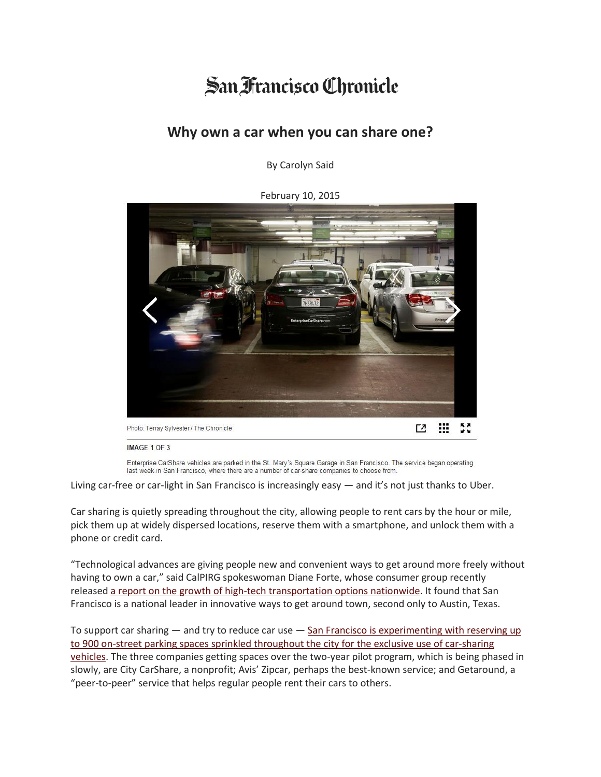## San Francisco Chronicle

## **Why own a car when you can share one?**

By Carolyn Said

February 10, 2015



IMAGE 1 OF 3

Enterprise CarShare vehicles are parked in the St. Mary's Square Garage in San Francisco. The service began operating last week in San Francisco, where there are a number of car-share companies to choose from.

Living car-free or car-light in San Francisco is increasingly easy — and it's not just thanks to Uber.

Car sharing is quietly spreading throughout the city, allowing people to rent cars by the hour or mile, pick them up at widely dispersed locations, reserve them with a smartphone, and unlock them with a phone or credit card.

"Technological advances are giving people new and convenient ways to get around more freely without having to own a car," said CalPIRG spokeswoman Diane Forte, whose consumer group recently released a report on the growth of high-tech [transportation](http://www.calpirg.org/reports/caf/innovative-transportation-index) options nationwide. It found that San Francisco is a national leader in innovative ways to get around town, second only to Austin, Texas.

To support car sharing  $-$  and try to reduce car use  $-$  San Francisco is [experimenting](https://www.sfmta.com/sites/default/files/projects/2014/Car_share_pilot_locations_20141031.pdf) with reserving up to 900 on-street parking spaces sprinkled [throughout](https://www.sfmta.com/sites/default/files/projects/2014/Car_share_pilot_locations_20141031.pdf) the city for the exclusive use of car-sharing [vehicles.](https://www.sfmta.com/sites/default/files/projects/2014/Car_share_pilot_locations_20141031.pdf) The three companies getting spaces over the two-year pilot program, which is being phased in slowly, are City CarShare, a nonprofit; Avis' Zipcar, perhaps the best-known service; and Getaround, a "peer-to-peer" service that helps regular people rent their cars to others.